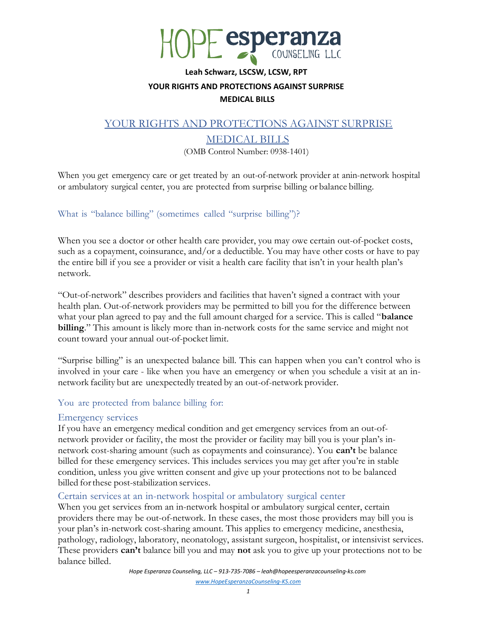

#### Leah Schwarz, LSCSW, LCSW, RPT

## YOUR RIGHTS AND PROTECTIONS AGAINST SURPRISE

#### MEDICAL BILLS

## YOUR RIGHTS AND PROTECTIONS AGAINST SURPRISE

# MEDICAL BILLS

(OMB Control Number: 0938-1401)

When you get emergency care or get treated by an out-of-network provider at an in-network hospital or ambulatory surgical center, you are protected from surprise billing or balance billing.

## What is "balance billing" (sometimes called "surprise billing")?

When you see a doctor or other health care provider, you may owe certain out-of-pocket costs, such as a copayment, coinsurance, and/or a deductible. You may have other costs or have to pay the entire bill if you see a provider or visit a health care facility that isn't in your health plan's network.

"Out-of-network" describes providers and facilities that haven't signed a contract with your health plan. Out-of-network providers may be permitted to bill you for the difference between what your plan agreed to pay and the full amount charged for a service. This is called "**balance** billing." This amount is likely more than in-network costs for the same service and might not count toward your annual out-of-pocket limit.

"Surprise billing" is an unexpected balance bill. This can happen when you can't control who is involved in your care - like when you have an emergency or when you schedule a visit at an innetwork facility but are unexpectedly treated by an out-of-network provider.

## You are protected from balance billing for:

#### Emergency services

If you have an emergency medical condition and get emergency services from an out-ofnetwork provider or facility, the most the provider or facility may bill you is your plan's innetwork cost-sharing amount (such as copayments and coinsurance). You can't be balance billed for these emergency services. This includes services you may get after you're in stable condition, unless you give written consent and give up your protections not to be balanced billed for these post-stabilization services.

## Certain services at an in-network hospital or ambulatory surgical center

When you get services from an in-network hospital or ambulatory surgical center, certain providers there may be out-of-network. In these cases, the most those providers may bill you is your plan's in-network cost-sharing amount. This applies to emergency medicine, anesthesia, pathology, radiology, laboratory, neonatology, assistant surgeon, hospitalist, or intensivist services. These providers **can't** balance bill you and may **not** ask you to give up your protections not to be balance billed.

> Hope Esperanza Counseling, LLC – 913-735-7086 – leah@hopeesperanzacounseling-ks.com www.HopeEsperanzaCounseling-KS.com